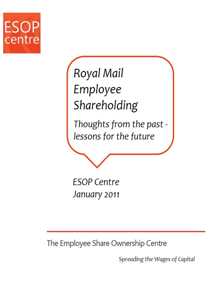

# Royal Mail Employee Shareholding

Thoughts from the past lessons for the future

**ESOP Centre** January 2011

The Employee Share Ownership Centre

Spreading the Wages of Capital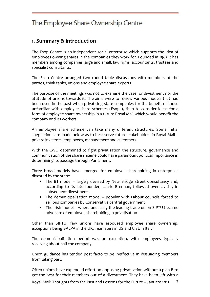#### 1. Summary & introduction

The Esop Centre is an independent social enterprise which supports the idea of employees owning shares in the companies they work for. Founded in 1985 it has members among companies large and small, law firms, accountants, trustees and specialist consultants.

The Esop Centre arranged two round table discussions with members of the parties, think tanks, unions and employee share experts.

The purpose of the meetings was not to examine the case for divestment nor the attitude of unions towards it. The aims were to review various models that had been used in the past when privatising state companies for the benefit of those unfamiliar with employee share schemes (Esops), then to consider ideas for a form of employee share ownership in a future Royal Mail which would benefit the company and its workers.

An employee share scheme can take many different structures. Some initial suggestions are made below as to best serve future stakeholders in Royal Mail – private investors, employees, management and customers.

With the CWU determined to fight privatisation the structure, governance and communication of the share shceme could have paramount political importance in determining its passage through Parliament.

Three broad models have emerged for employee shareholding in enterprises divested by the state:

- The BT model largely devised by New Bridge Street Consultancy and, according to its late founder, Laurie Brennan, followed overslavishly in subsequent divestments
- The demunicipalisation model popular with Labour councils forced to sell bus companies by Conservative central government
- The Irish model where unusually the leading trade union SIPTU became advocate of employee shareholding in privatisation

Other than SIPTU, few unions have espoused employee share ownership, exceptions being BALPA in the UK, Teamsters in US and CISL in Italy.

The demunicipalisation period was an exception, with employees typically receiving about half the company.

Union guidance has tended post facto to be ineffective in dissuading members from taking part.

Often unions have expended effort on opposing privatisation without a plan B to get the best for their members out of a divestment. They have been left with a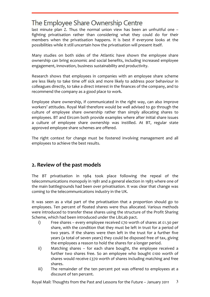last minute plan Z. Thus the normal union view has been an unfruitful one – fighting privatisation rather than considering what they could do for their members when the privatisation happens. It is best if everyone looks at the possibilities while it still uncertain how the privatisation will present itself.

Many studies on both sides of the Atlantic have shown the employee share ownership can bring economic and social benefits, including increased employee engagement, innovation, business sustainability and productivity.

Research shows that employees in companies with an employee share scheme are less likely to take time off sick and more likely to address poor behaviour in colleagues directly, to take a direct interest in the finances of the company, and to recommend the company as a good place to work.

Employee share ownership, if communicated in the right way, can also improve workers' attitudes. Royal Mail therefore would be well advised to go through the culture of employee share ownership rather than simply allocating shares to employees. BT and Eircom both provide examples where after initial share issues a culture of employee share ownership was instilled. At BT, regular state approved employee share schemes are offered.

The right context for change must be fostered involving management and all employees to achieve the best results.

#### 2. Review of the past models

The BT privatisation in 1984 took place following the repeal of the telecommunications monopoly in 1981 and a general election in 1983 where one of the main battlegrounds had been over privatisation. It was clear that change was coming to the telecommunications industry in the UK.

It was seen as a vital part of the privatisation that a proportion should go to employees. Ten percent of floated shares were thus allocated. Various methods were introduced to transfer these shares using the structure of the Profit Sharing Scheme, which had been introduced under the LibLab pact.

- i) Free shares every employee received £70 worth of shares at £1.30 per share, with the condition that they must be left in trust for a period of two years. If the shares were then left in the trust for a further five years (a total of seven years) they could be disposed free of tax, giving the employees a reason to hold the shares for a longer period.
- ii) Matching shares for each share bought, the employee received a further two shares free. So an employee who bought £100 worth of shares would receive £370 worth of shares including matching and free shares.
- iii) The remainder of the ten percent pot was offered to employees at a discount of ten percent.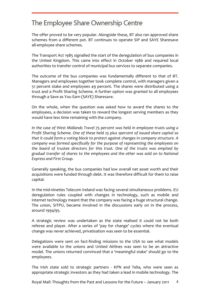The offer proved to be very popular. Alongside these, BT also ran approved share schemes from a different pot. BT continues to operate SIP and SAYE Sharesave all-employee share schemes.

The Transport Act 1985 signalled the start of the deregulation of bus companies in the United Kingdom. This came into effect in October 1986 and required local authorities to transfer control of municipal bus services to separate companies.

The outcome of the bus companies was fundamentally different to that of BT. Managers and employees together took complete control, with managers given a 51 percent stake and employees 49 percent. The shares were distributed using a trust and a Profit Sharing Scheme. A further option was granted to all employees through a Save as You Earn (SAYE) Sharesave.

On the whole, when the question was asked how to award the shares to the employees, a decision was taken to reward the longest serving members as they would have less time remaining with the company.

In the case of West Midlands Travel 75 percent was held in employee trusts using a Profit Sharing Scheme. One of these held 25 plus 1percent of issued share capital so that it could form a voting block to protect against changes in company structure. A company was formed specifically for the purpose of representing the employees on the board of trustee directors for this trust. One of the trusts was emptied by gradual transfer of shares to the employees and the other was sold on to National Express and First Group.

Generally speaking, the bus companies had low overall net asset worth and their acquisitions were funded through debt. It was therefore difficult for them to raise capital.

In the mid-nineties Telecom Ireland was facing several simultaneous problems. EU deregulation rules coupled with changes in technology, such as mobile and internet technology meant that the company was facing a huge structural change. The union, SITPU, became involved in the discussions early on in the process, around 1994/95.

A strategic review was undertaken as the state realised it could not be both referee and player. After a series of 'pay for change' cycles where the eventual change was never achieved, privatisation was seen to be essential.

Delegations were sent on fact-finding missions to the USA to see what models were available to the unions and United Airlines was seen to be an attractive model. The unions returned convinced that a 'meaningful stake' should go to the employees.

The Irish state sold to strategic partners - KPN and Telia, who were seen as appropriate strategic investors as they had taken a lead in mobile technology. The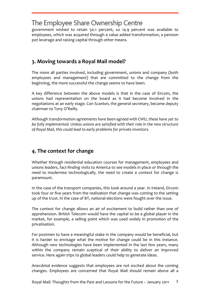government wished to retain 50.1 percent, so 14.9 percent was available to employees, which was acquired through a value added transformation, a pension pot leverage and raising capital through other means.

## 3. Moving towards a Royal Mail model?

The more all parties involved, including government, unions and company (both employees and management) that are committed to the change from the beginning, the more successful the change seems to have been.

A key difference between the above models is that in the case of Eircom, the unions had representation on the board as it had become involved in the negotiations at an early stage. Con Scanlon, the general secretary, became deputy chairman to Tony O'Reilly.

Although transformation agreements have been agreed with CWU, these have yet to be fully implemented. Unless unions are satisfied with their role in the new structure of Royal Mail, this could lead to early problems for private investors.

## 4. The context for change

Whether through residential education courses for management, employees and unions leaders, fact-finding visits to America to see models in place or through the need to modernise technologically, the need to create a context for change is paramount.

In the case of the transport companies, this took around a year. In Ireland, Eircom took four or five years from the realisation that change was coming to the setting up of the trust. In the case of BT, national elections were fought over the issue.

The context for change allows an air of excitement to build rather than one of apprehension. British Telecom would have the capital to be a global player in the market, for example, a selling point which was used widely in promotion of the privatisation.

For postmen to have a meaningful stake in the company would be beneficial, but it is harder to envisage what the motive for change could be in this instance. Although new technologies have been implemented in the last few years, many within the company remain sceptical of their ability to deliver an improved service. Here again trips to global leaders could help to generate ideas.

Anecdotal evidence suggests that employees are not excited about the coming changes. Employees are concerned that Royal Mail should remain above all a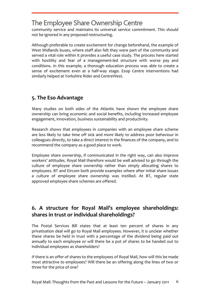community service and maintains its universal service commitment. This should not be ignored in any proposed restructuring.

Although preferable to create excitement for change beforehand, the example of West Midlands buses, where staff also felt they were part of the community and served a vital role within it provides a useful case study. The process here started with hostility and fear of a management-led structure with worse pay and conditions. In this example, a thorough education process was able to create a sense of excitement even at a half-way stage. Esop Centre interventions had similarly helped at Yorkshire Rider and CentreWest.

## 5. The Eso Advantage

Many studies on both sides of the Atlantic have shown the employee share ownership can bring economic and social benefits, including increased employee engagement, innovation, business sustainability and productivity.

Research shows that employees in companies with an employee share scheme are less likely to take time off sick and more likely to address poor behaviour in colleagues directly, to take a direct interest in the finances of the company, and to recommend the company as a good place to work.

Employee share ownership, if communicated in the right way, can also improve workers' attitudes. Royal Mail therefore would be well advised to go through the culture of employee share ownership rather than simply allocating shares to employees. BT and Eircom both provide examples where after initial share issues a culture of employee share ownership was instilled. At BT, regular state approved employee share schemes are offered.

## 6. A structure for Royal Mail's employee shareholdings: shares in trust or individual shareholdings?

The Postal Services Bill states that at least ten percent of shares in any privatisation deal will go to Royal Mail employees. However, it is unclear whether these shares be held in trust with a percentage of the dividend being paid out annually to each employee or will there be a pot of shares to be handed out to individual employees as shareholders?

If there is an offer of shares to the employees of Royal Mail, how will this be made most attractive to employees? Will there be an offering along the lines of two or three for the price of one?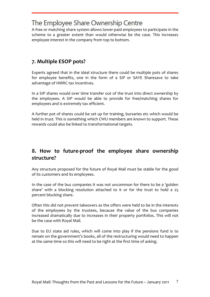A free or matching share system allows lower-paid employees to participate in the scheme to a greater extent than would otherwise be the case. This increases employee interest in the company from top to bottom.

#### 7. Multiple ESOP pots?

Experts agreed that in the ideal structure there could be multiple pots of shares for employee benefits, one in the form of a SIP or SAYE Sharesave to take advantage of HMRC tax incentives.

In a SIP shares would over time transfer out of the trust into direct ownership by the employees. A SIP would be able to provide for free/matching shares for employees and is extremely tax efficient.

A further pot of shares could be set up for training, bursaries etc which would be held in trust. This is something which CWU members are known to support. These rewards could also be linked to transformational targets.

#### 8. How to future-proof the employee share ownership structure?

Any structure proposed for the future of Royal Mail must be stable for the good of its customers and its employees.

In the case of the bus companies it was not uncommon for there to be a 'golden share' with a blocking resolution attached to it or for the trust to hold a 25 percent blocking share.

Often this did not prevent takeovers as the offers were held to be in the interests of the employees by the trustees, because the value of the bus companies increased dramatically due to increases in their property portfolios. This will not be the case with Royal Mail.

Due to EU state aid rules, which will come into play if the pensions fund is to remain on the government's books, all of the restructuring would need to happen at the same time so this will need to be right at the first time of asking.